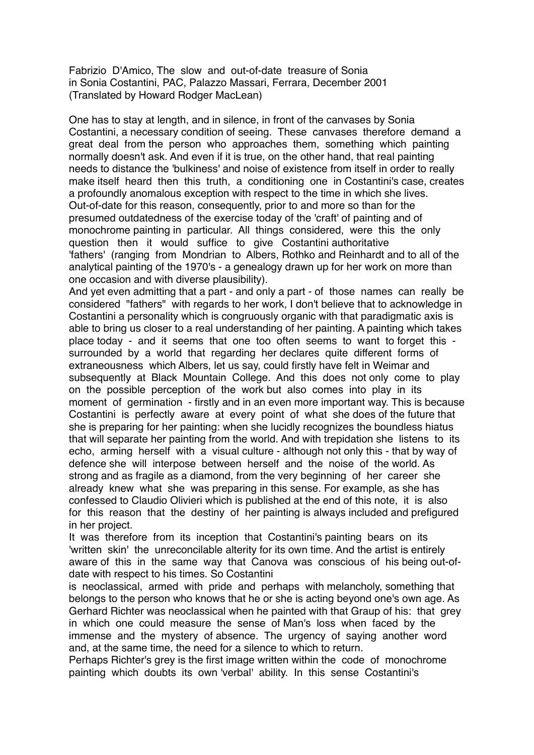Fabrizio D'Amico, The slow and out-of-date treasure of Sonia in Sonia Costantini, PAC, Palazzo Massari, Ferrara, December 2001 (Translated by Howard Rodger MacLean)

One has to stay at length, and in silence, in front of the canvases by Sonia Costantini, a necessary condition of seeing. These canvases therefore demand a great deal from the person who approaches them, something which painting normally doesn't ask. And even if it is true, on the other hand, that real painting needs to distance the 'bulkiness' and noise of existence from itself in order to really make itself heard then this truth, a conditioning one in Costantini's case, creates a profoundly anomalous exception with respect to the time in which she lives. Out-of-date for this reason, consequently, prior to and more so than for the presumed outdatedness of the exercise today of the 'craft' of painting and of monochrome painting in particular. All things considered, were this the only question then it would suffice to give Costantini authoritative 'fathers' (ranging from Mondrian to Albers, Rothko and Reinhardt and to all of the analytical painting of the 1970's - a genealogy drawn up for her work on more than one occasion and with diverse plausibility).

And yet even admitting that a part - and only a part - of those names can really be considered "fathers" with regards to her work, I don't believe that to acknowledge in Costantini a personality which is congruously organic with that paradigmatic axis is able to bring us closer to a real understanding of her painting. A painting which takes place today - and it seems that one too often seems to want to forget this surrounded by a world that regarding her declares quite different forms of extraneousness which Albers, let us say, could firstly have felt in Weimar and subsequently at Black Mountain College. And this does not only come to play on the possible perception of the work but also comes into play in its moment of germination - firstly and in an even more important way. This is because Costantini is perfectly aware at every point of what she does of the future that she is preparing for her painting: when she lucidly recognizes the boundless hiatus that will separate her painting from the world. And with trepidation she listens to its echo, arming herself with a visual culture - although not only this - that by way of defence she will interpose between herself and the noise of the world. As strong and as fragile as a diamond, from the very beginning of her career she already knew what she was preparing in this sense. For example, as she has confessed to Claudio Olivieri which is published at the end of this note, it is also for this reason that the destiny of her painting is always included and prefigured in her project.

It was therefore from its inception that Costantini's painting bears on its 'written skin' the unreconcilable alterity for its own time. And the artist is entirely aware of this in the same way that Canova was conscious of his being out-ofdate with respect to his times. So Costantini

is neoclassical, armed with pride and perhaps with melancholy, something that belongs to the person who knows that he or she is acting beyond one's own age. As Gerhard Richter was neoclassical when he painted with that Graup of his: that grey in which one could measure the sense of Man's loss when faced by the immense and the mystery of absence. The urgency of saying another word and, at the same time, the need for a silence to which to return.

Perhaps Richter's grey is the first image written within the code of monochrome painting which doubts its own 'verbal' ability. In this sense Costantini's